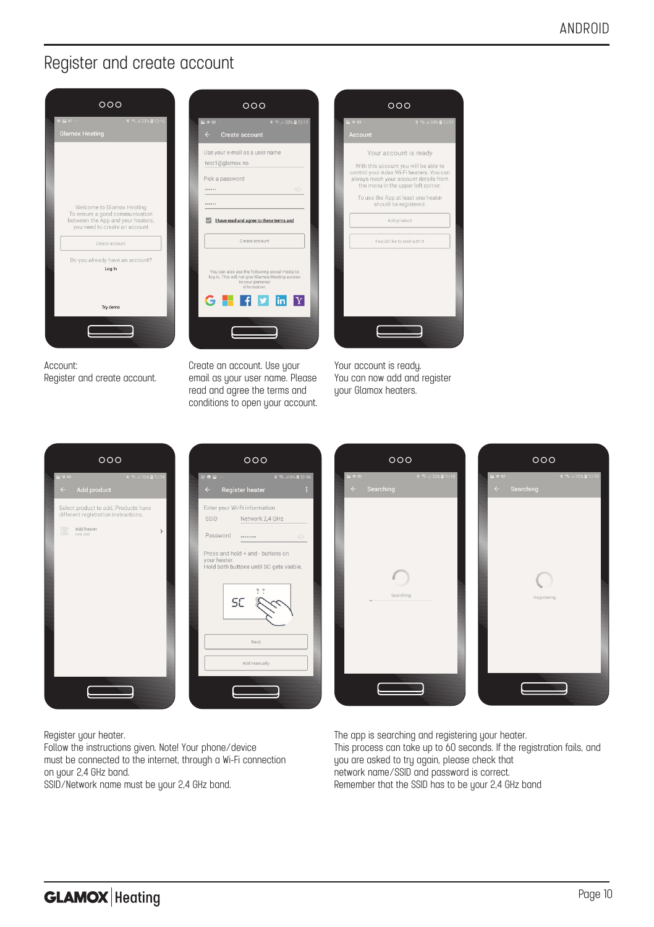#### Register and create account



Account: Register and create account.

Create an account. Use your email as your user name. Please read and agree the terms and conditions to open your account.



Your account is ready. You can now add and register uour Glamox heaters.







Register your heater.

Follow the instructions given. Note! Your phone/device must be connected to the internet, through a Wi-Fi connection on your 2,4 GHz band.

SSID/Network name must be your 2.4 GHz band.

The app is searching and registering your heater. This process can take up to 60 seconds. If the registration fails, and you are asked to try again, please check that network name/SSID and password is correct. Remember that the SSID has to be your 2.4 GHz band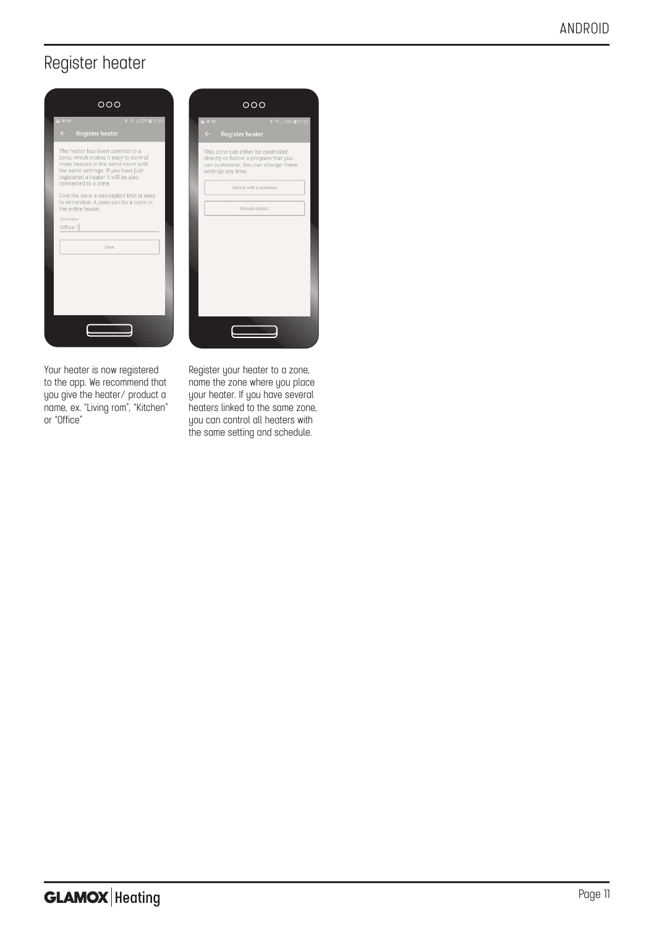### Register heater





Your heater is now registered to the app. We recommend that you give the heater/ product a name, ex. "Living rom", "Kitchen" or "Office"

Register your heater to a zone, name the zone where you place your heater. If you have several heaters linked to the same zone, you can control all heaters with the same setting and schedule.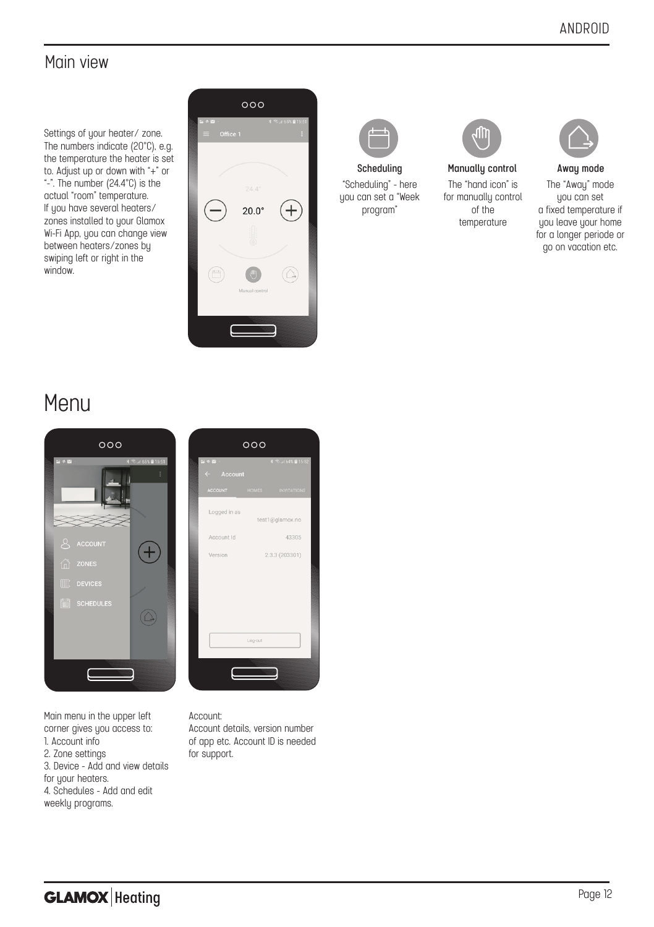### Main view

Settings of your heater/ zone. The numbers indicate (20°C), e.g. the temperature the heater is set to. Adjust up or down with "+" or "-". The number (24.4°C) is the actual "room" temperature. If you have several heaters/ zones installed to your Glamox Wi-Fi App, you can change view between heaters/zones by swiping left or right in the window.





"Scheduling" - here you can set a "Week program"



The "hand icon" is for manually control of the temperature **Scheduling Manually control Away mode**



The "Awau" mode you can set a fixed temperature if you leave your home for a longer periode or go on vacation etc.

# Menu



Main menu in the upper left corner gives you access to: 1. Account info 2. Zone settings 3. Device - Add and view details for your heaters. 4. Schedules - Add and edit weekly programs.



#### Account:

Account details, version number of app etc. Account ID is needed for support.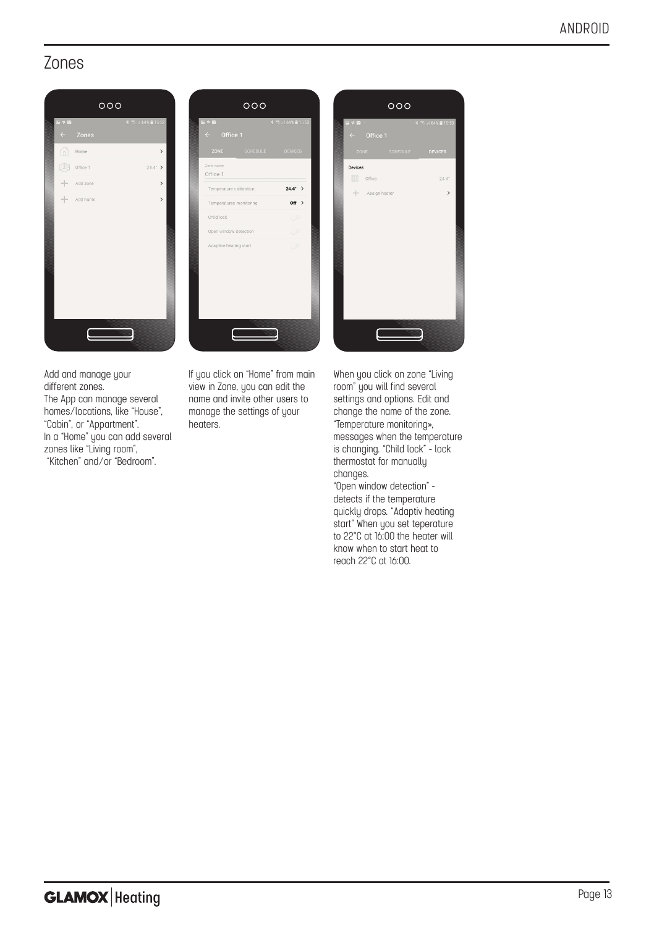#### Zones





Add and manage your different zones. The App can manage several homes/locations, like "House", "Cabin", or "Appartment". In a "Home" you can add several zones like "Living room", "Kitchen" and/or "Bedroom".

If you click on "Home" from main view in Zone, you can edit the name and invite other users to manage the settings of your henters



When you click on zone "Living room" you will find several settings and options. Edit and change the name of the zone. "Temperature monitoring», messages when the temperature is changing. "Child lock" - lock thermostat for manually changes.

"Open window detection" detects if the temperature quickly drops. "Adaptiv heating start" When you set teperature to 22°C at 16:00 the heater will know when to start heat to reach 22°C at 16:00.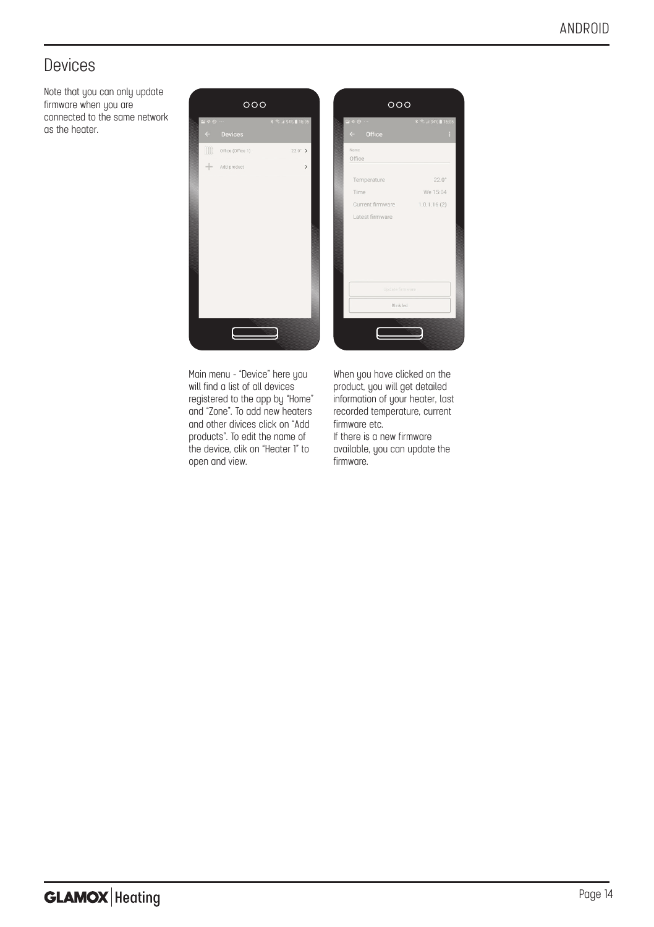## Devices

Note that you can only update firmware when you are connected to the same network as the heater.



Main menu - "Device" here you will find a list of all devices registered to the app by "Home" and "Zone". To add new heaters and other divices click on "Add products". To edit the name of the device, clik on "Heater 1" to open and view.

When you have clicked on the product, you will get detailed information of your heater, last recorded temperature, current firmware etc.

If there is a new firmware available, you can update the firmware.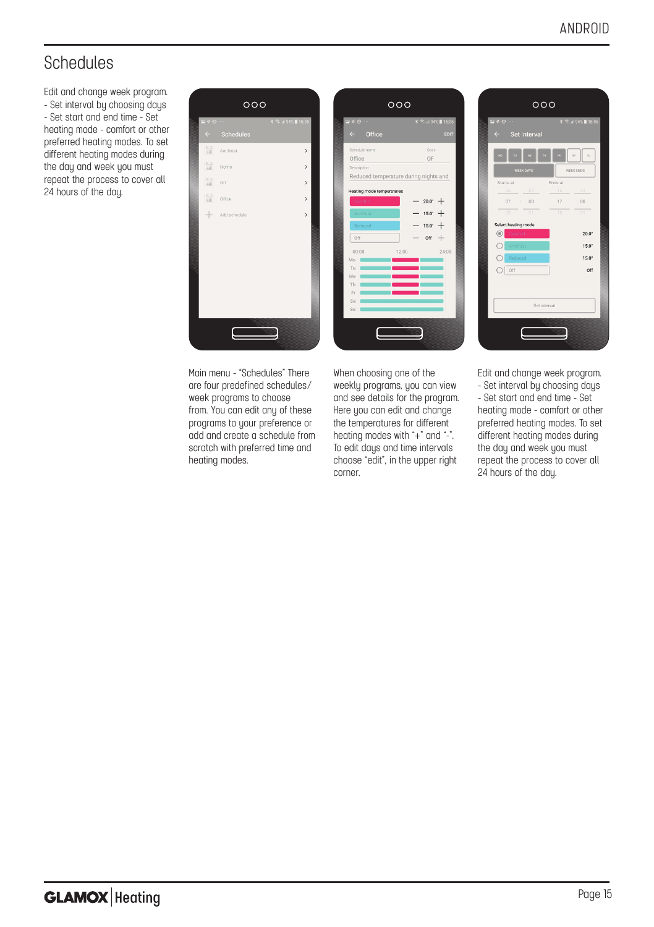# Schedules

Edit and change week program. - Set interval by choosing days - Set start and end time - Set heating mode - comfort or other preferred heating modes. To set different heating modes during the day and week you must repeat the process to cover all 24 hours of the day.







Main menu - "Schedules" There are four predefined schedules/ week programs to choose from. You can edit any of these programs to your preference or add and create a schedule from scratch with preferred time and heating modes.

When choosing one of the weekly programs, you can view and see details for the program. Here you can edit and change the temperatures for different heating modes with "+" and "-". To edit days and time intervals choose "edit", in the upper right corner.

Edit and change week program. - Set interval by choosing days - Set start and end time - Set heating mode - comfort or other preferred heating modes. To set different heating modes during the day and week you must repeat the process to cover all 24 hours of the day.